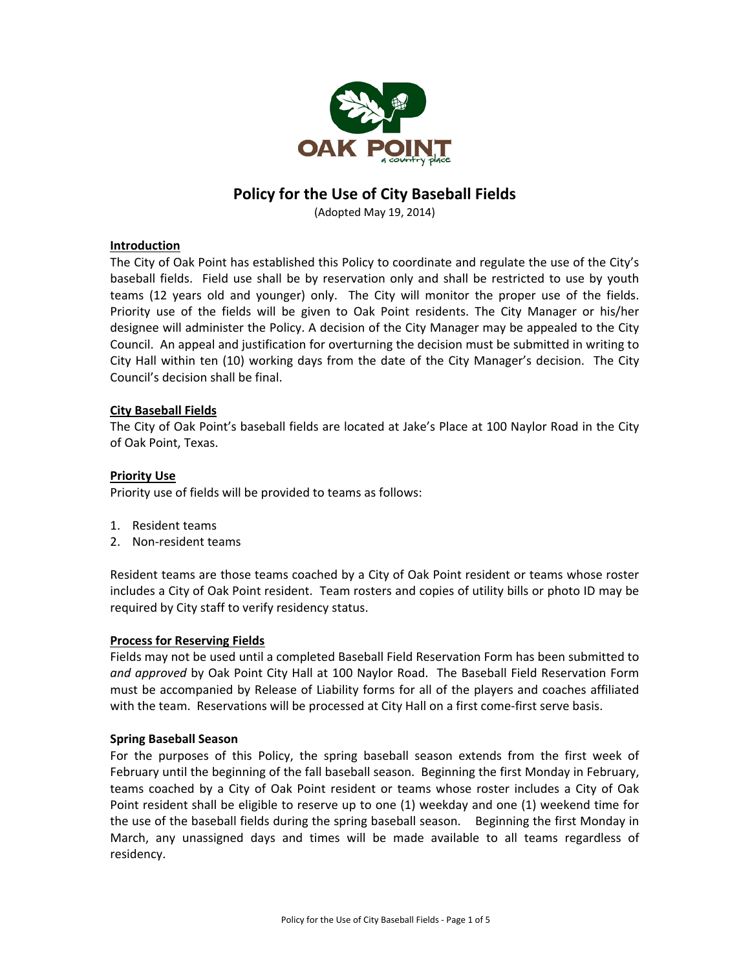

# **Policy for the Use of City Baseball Fields**

(Adopted May 19, 2014)

# **Introduction**

The City of Oak Point has established this Policy to coordinate and regulate the use of the City's baseball fields. Field use shall be by reservation only and shall be restricted to use by youth teams (12 years old and younger) only. The City will monitor the proper use of the fields. Priority use of the fields will be given to Oak Point residents. The City Manager or his/her designee will administer the Policy. A decision of the City Manager may be appealed to the City Council. An appeal and justification for overturning the decision must be submitted in writing to City Hall within ten (10) working days from the date of the City Manager's decision. The City Council's decision shall be final.

# **City Baseball Fields**

The City of Oak Point's baseball fields are located at Jake's Place at 100 Naylor Road in the City of Oak Point, Texas.

# **Priority Use**

Priority use of fields will be provided to teams as follows:

- 1. Resident teams
- 2. Non‐resident teams

Resident teams are those teams coached by a City of Oak Point resident or teams whose roster includes a City of Oak Point resident. Team rosters and copies of utility bills or photo ID may be required by City staff to verify residency status.

#### **Process for Reserving Fields**

Fields may not be used until a completed Baseball Field Reservation Form has been submitted to *and approved* by Oak Point City Hall at 100 Naylor Road. The Baseball Field Reservation Form must be accompanied by Release of Liability forms for all of the players and coaches affiliated with the team. Reservations will be processed at City Hall on a first come‐first serve basis.

#### **Spring Baseball Season**

For the purposes of this Policy, the spring baseball season extends from the first week of February until the beginning of the fall baseball season. Beginning the first Monday in February, teams coached by a City of Oak Point resident or teams whose roster includes a City of Oak Point resident shall be eligible to reserve up to one (1) weekday and one (1) weekend time for the use of the baseball fields during the spring baseball season. Beginning the first Monday in March, any unassigned days and times will be made available to all teams regardless of residency.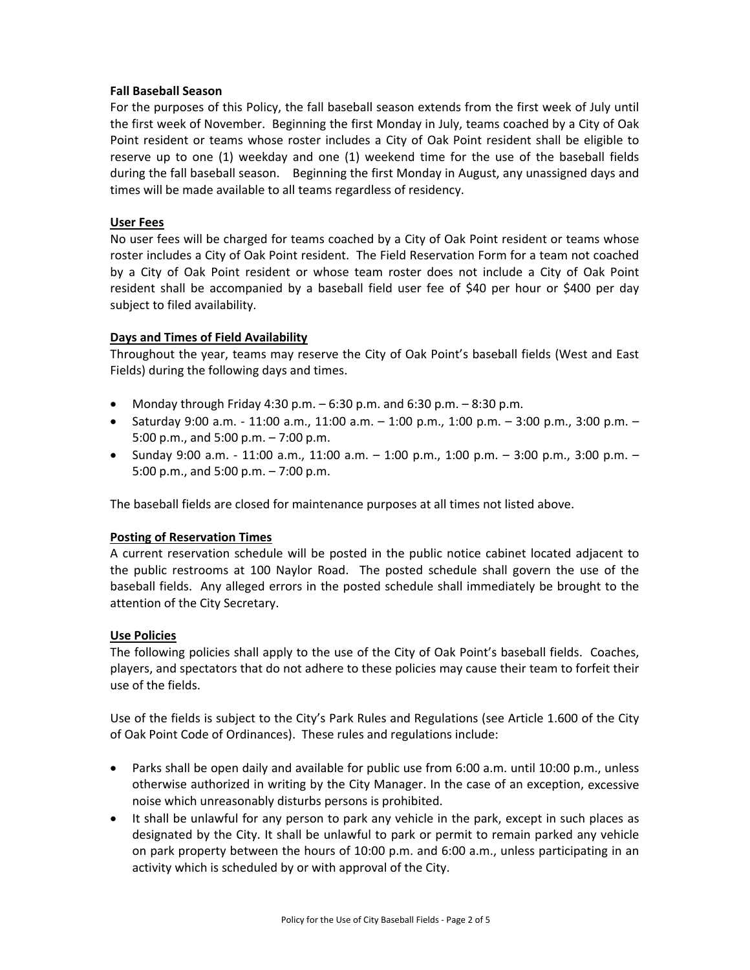# **Fall Baseball Season**

For the purposes of this Policy, the fall baseball season extends from the first week of July until the first week of November. Beginning the first Monday in July, teams coached by a City of Oak Point resident or teams whose roster includes a City of Oak Point resident shall be eligible to reserve up to one (1) weekday and one (1) weekend time for the use of the baseball fields during the fall baseball season. Beginning the first Monday in August, any unassigned days and times will be made available to all teams regardless of residency.

# **User Fees**

No user fees will be charged for teams coached by a City of Oak Point resident or teams whose roster includes a City of Oak Point resident. The Field Reservation Form for a team not coached by a City of Oak Point resident or whose team roster does not include a City of Oak Point resident shall be accompanied by a baseball field user fee of \$40 per hour or \$400 per day subject to filed availability.

# **Days and Times of Field Availability**

Throughout the year, teams may reserve the City of Oak Point's baseball fields (West and East Fields) during the following days and times.

- Monday through Friday 4:30 p.m.  $-6:30$  p.m. and  $6:30$  p.m.  $-8:30$  p.m.
- Saturday 9:00 a.m. ‐ 11:00 a.m., 11:00 a.m. 1:00 p.m., 1:00 p.m. 3:00 p.m., 3:00 p.m. 5:00 p.m., and 5:00 p.m. – 7:00 p.m.
- Sunday 9:00 a.m. 11:00 a.m., 11:00 a.m. 1:00 p.m., 1:00 p.m. 3:00 p.m., 3:00 p.m. 5:00 p.m., and 5:00 p.m. – 7:00 p.m.

The baseball fields are closed for maintenance purposes at all times not listed above.

#### **Posting of Reservation Times**

A current reservation schedule will be posted in the public notice cabinet located adjacent to the public restrooms at 100 Naylor Road. The posted schedule shall govern the use of the baseball fields. Any alleged errors in the posted schedule shall immediately be brought to the attention of the City Secretary.

#### **Use Policies**

The following policies shall apply to the use of the City of Oak Point's baseball fields. Coaches, players, and spectators that do not adhere to these policies may cause their team to forfeit their use of the fields.

Use of the fields is subject to the City's Park Rules and Regulations (see Article 1.600 of the City of Oak Point Code of Ordinances). These rules and regulations include:

- Parks shall be open daily and available for public use from 6:00 a.m. until 10:00 p.m., unless otherwise authorized in writing by the City Manager. In the case of an exception, excessive noise which unreasonably disturbs persons is prohibited.
- It shall be unlawful for any person to park any vehicle in the park, except in such places as designated by the City. It shall be unlawful to park or permit to remain parked any vehicle on park property between the hours of 10:00 p.m. and 6:00 a.m., unless participating in an activity which is scheduled by or with approval of the City.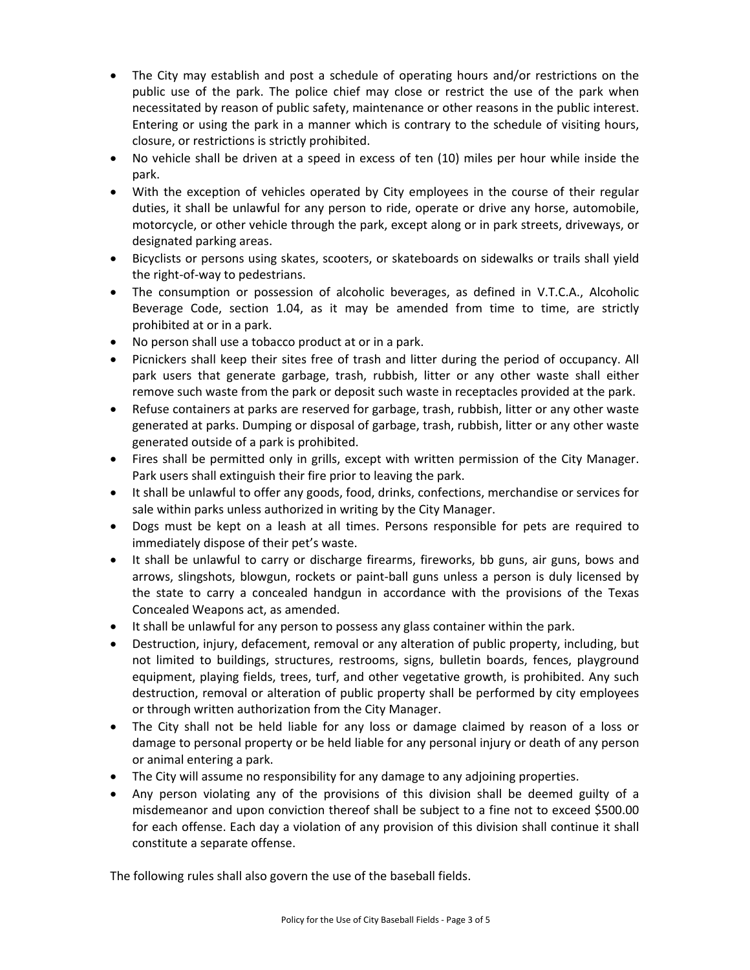- The City may establish and post a schedule of operating hours and/or restrictions on the public use of the park. The police chief may close or restrict the use of the park when necessitated by reason of public safety, maintenance or other reasons in the public interest. Entering or using the park in a manner which is contrary to the schedule of visiting hours, closure, or restrictions is strictly prohibited.
- No vehicle shall be driven at a speed in excess of ten (10) miles per hour while inside the park.
- With the exception of vehicles operated by City employees in the course of their regular duties, it shall be unlawful for any person to ride, operate or drive any horse, automobile, motorcycle, or other vehicle through the park, except along or in park streets, driveways, or designated parking areas.
- Bicyclists or persons using skates, scooters, or skateboards on sidewalks or trails shall yield the right‐of‐way to pedestrians.
- The consumption or possession of alcoholic beverages, as defined in V.T.C.A., Alcoholic Beverage Code, section 1.04, as it may be amended from time to time, are strictly prohibited at or in a park.
- No person shall use a tobacco product at or in a park.
- Picnickers shall keep their sites free of trash and litter during the period of occupancy. All park users that generate garbage, trash, rubbish, litter or any other waste shall either remove such waste from the park or deposit such waste in receptacles provided at the park.
- Refuse containers at parks are reserved for garbage, trash, rubbish, litter or any other waste generated at parks. Dumping or disposal of garbage, trash, rubbish, litter or any other waste generated outside of a park is prohibited.
- Fires shall be permitted only in grills, except with written permission of the City Manager. Park users shall extinguish their fire prior to leaving the park.
- It shall be unlawful to offer any goods, food, drinks, confections, merchandise or services for sale within parks unless authorized in writing by the City Manager.
- Dogs must be kept on a leash at all times. Persons responsible for pets are required to immediately dispose of their pet's waste.
- It shall be unlawful to carry or discharge firearms, fireworks, bb guns, air guns, bows and arrows, slingshots, blowgun, rockets or paint‐ball guns unless a person is duly licensed by the state to carry a concealed handgun in accordance with the provisions of the Texas Concealed Weapons act, as amended.
- It shall be unlawful for any person to possess any glass container within the park.
- Destruction, injury, defacement, removal or any alteration of public property, including, but not limited to buildings, structures, restrooms, signs, bulletin boards, fences, playground equipment, playing fields, trees, turf, and other vegetative growth, is prohibited. Any such destruction, removal or alteration of public property shall be performed by city employees or through written authorization from the City Manager.
- The City shall not be held liable for any loss or damage claimed by reason of a loss or damage to personal property or be held liable for any personal injury or death of any person or animal entering a park.
- The City will assume no responsibility for any damage to any adjoining properties.
- Any person violating any of the provisions of this division shall be deemed guilty of a misdemeanor and upon conviction thereof shall be subject to a fine not to exceed \$500.00 for each offense. Each day a violation of any provision of this division shall continue it shall constitute a separate offense.

The following rules shall also govern the use of the baseball fields.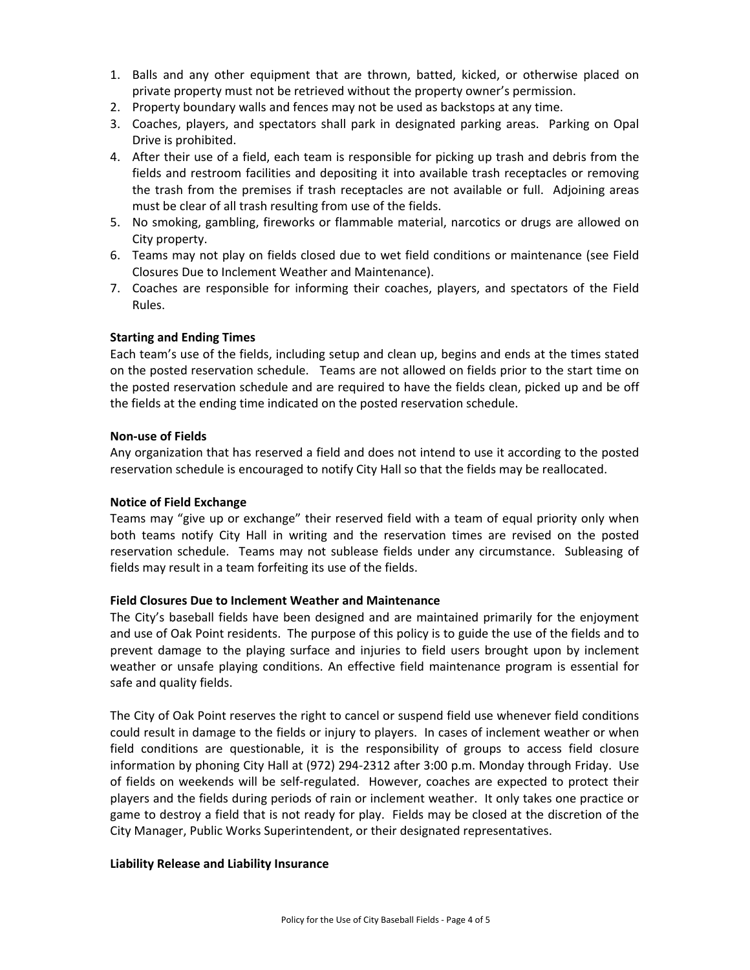- 1. Balls and any other equipment that are thrown, batted, kicked, or otherwise placed on private property must not be retrieved without the property owner's permission.
- 2. Property boundary walls and fences may not be used as backstops at any time.
- 3. Coaches, players, and spectators shall park in designated parking areas. Parking on Opal Drive is prohibited.
- 4. After their use of a field, each team is responsible for picking up trash and debris from the fields and restroom facilities and depositing it into available trash receptacles or removing the trash from the premises if trash receptacles are not available or full. Adjoining areas must be clear of all trash resulting from use of the fields.
- 5. No smoking, gambling, fireworks or flammable material, narcotics or drugs are allowed on City property.
- 6. Teams may not play on fields closed due to wet field conditions or maintenance (see Field Closures Due to Inclement Weather and Maintenance).
- 7. Coaches are responsible for informing their coaches, players, and spectators of the Field Rules.

# **Starting and Ending Times**

Each team's use of the fields, including setup and clean up, begins and ends at the times stated on the posted reservation schedule. Teams are not allowed on fields prior to the start time on the posted reservation schedule and are required to have the fields clean, picked up and be off the fields at the ending time indicated on the posted reservation schedule.

#### **Non‐use of Fields**

Any organization that has reserved a field and does not intend to use it according to the posted reservation schedule is encouraged to notify City Hall so that the fields may be reallocated.

#### **Notice of Field Exchange**

Teams may "give up or exchange" their reserved field with a team of equal priority only when both teams notify City Hall in writing and the reservation times are revised on the posted reservation schedule. Teams may not sublease fields under any circumstance. Subleasing of fields may result in a team forfeiting its use of the fields.

#### **Field Closures Due to Inclement Weather and Maintenance**

The City's baseball fields have been designed and are maintained primarily for the enjoyment and use of Oak Point residents. The purpose of this policy is to guide the use of the fields and to prevent damage to the playing surface and injuries to field users brought upon by inclement weather or unsafe playing conditions. An effective field maintenance program is essential for safe and quality fields.

The City of Oak Point reserves the right to cancel or suspend field use whenever field conditions could result in damage to the fields or injury to players. In cases of inclement weather or when field conditions are questionable, it is the responsibility of groups to access field closure information by phoning City Hall at (972) 294‐2312 after 3:00 p.m. Monday through Friday. Use of fields on weekends will be self‐regulated. However, coaches are expected to protect their players and the fields during periods of rain or inclement weather. It only takes one practice or game to destroy a field that is not ready for play. Fields may be closed at the discretion of the City Manager, Public Works Superintendent, or their designated representatives.

#### **Liability Release and Liability Insurance**